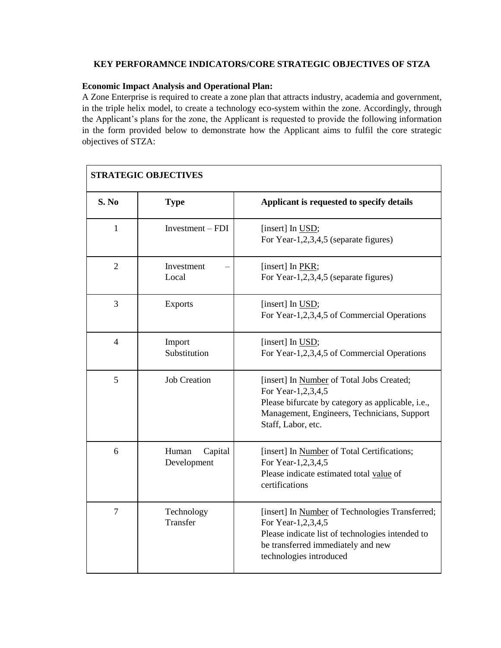## **KEY PERFORAMNCE INDICATORS/CORE STRATEGIC OBJECTIVES OF STZA**

## **Economic Impact Analysis and Operational Plan:**

A Zone Enterprise is required to create a zone plan that attracts industry, academia and government, in the triple helix model, to create a technology eco-system within the zone. Accordingly, through the Applicant's plans for the zone, the Applicant is requested to provide the following information in the form provided below to demonstrate how the Applicant aims to fulfil the core strategic objectives of STZA:

| <b>STRATEGIC OBJECTIVES</b> |                                 |                                                                                                                                                                                            |
|-----------------------------|---------------------------------|--------------------------------------------------------------------------------------------------------------------------------------------------------------------------------------------|
| S. No                       | <b>Type</b>                     | Applicant is requested to specify details                                                                                                                                                  |
| $\mathbf{1}$                | $Investment - FDI$              | [insert] In USD;<br>For Year-1,2,3,4,5 (separate figures)                                                                                                                                  |
| $\overline{2}$              | Investment<br>Local             | [insert] In PKR;<br>For Year-1,2,3,4,5 (separate figures)                                                                                                                                  |
| 3                           | <b>Exports</b>                  | [insert] In USD;<br>For Year-1,2,3,4,5 of Commercial Operations                                                                                                                            |
| $\overline{4}$              | Import<br>Substitution          | [insert] In USD;<br>For Year-1,2,3,4,5 of Commercial Operations                                                                                                                            |
| 5                           | <b>Job Creation</b>             | [insert] In Number of Total Jobs Created;<br>For Year-1,2,3,4,5<br>Please bifurcate by category as applicable, i.e.,<br>Management, Engineers, Technicians, Support<br>Staff, Labor, etc.  |
| 6                           | Human<br>Capital<br>Development | [insert] In Number of Total Certifications;<br>For Year-1,2,3,4,5<br>Please indicate estimated total value of<br>certifications                                                            |
| $\overline{7}$              | Technology<br>Transfer          | [insert] In Number of Technologies Transferred;<br>For Year-1,2,3,4,5<br>Please indicate list of technologies intended to<br>be transferred immediately and new<br>technologies introduced |